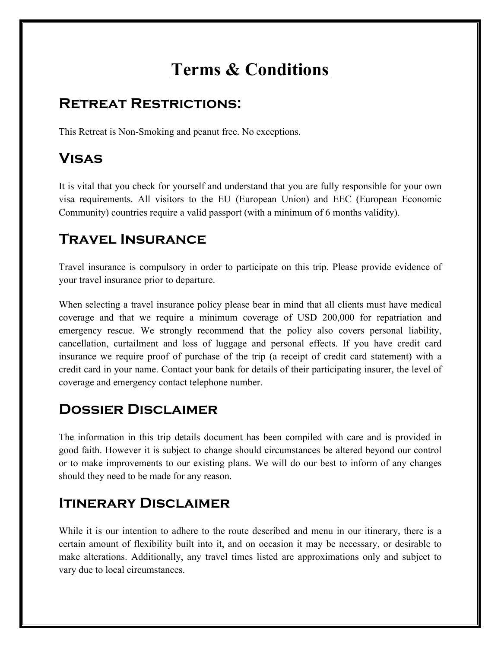# **Terms & Conditions**

### **Retreat Restrictions:**

This Retreat is Non-Smoking and peanut free. No exceptions.

## **Visas**

It is vital that you check for yourself and understand that you are fully responsible for your own visa requirements. All visitors to the EU (European Union) and EEC (European Economic Community) countries require a valid passport (with a minimum of 6 months validity).

# **Travel Insurance**

Travel insurance is compulsory in order to participate on this trip. Please provide evidence of your travel insurance prior to departure.

When selecting a travel insurance policy please bear in mind that all clients must have medical coverage and that we require a minimum coverage of USD 200,000 for repatriation and emergency rescue. We strongly recommend that the policy also covers personal liability, cancellation, curtailment and loss of luggage and personal effects. If you have credit card insurance we require proof of purchase of the trip (a receipt of credit card statement) with a credit card in your name. Contact your bank for details of their participating insurer, the level of coverage and emergency contact telephone number.

### **Dossier Disclaimer**

The information in this trip details document has been compiled with care and is provided in good faith. However it is subject to change should circumstances be altered beyond our control or to make improvements to our existing plans. We will do our best to inform of any changes should they need to be made for any reason.

### **Itinerary Disclaimer**

While it is our intention to adhere to the route described and menu in our itinerary, there is a certain amount of flexibility built into it, and on occasion it may be necessary, or desirable to make alterations. Additionally, any travel times listed are approximations only and subject to vary due to local circumstances.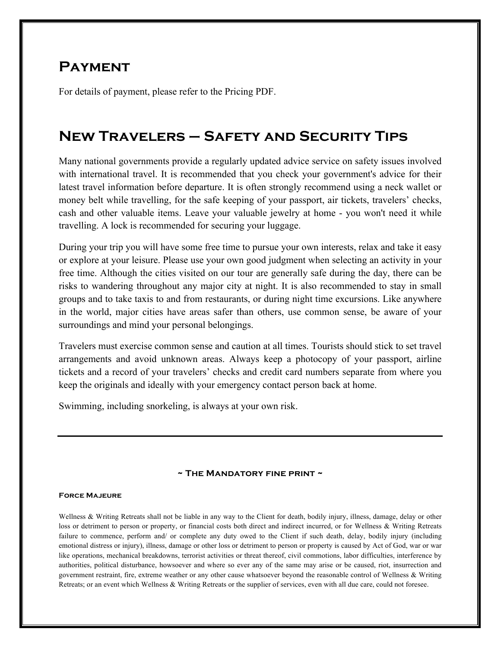#### **Payment**

For details of payment, please refer to the Pricing PDF.

### **New Travelers – Safety and Security Tips**

Many national governments provide a regularly updated advice service on safety issues involved with international travel. It is recommended that you check your government's advice for their latest travel information before departure. It is often strongly recommend using a neck wallet or money belt while travelling, for the safe keeping of your passport, air tickets, travelers' checks, cash and other valuable items. Leave your valuable jewelry at home - you won't need it while travelling. A lock is recommended for securing your luggage.

During your trip you will have some free time to pursue your own interests, relax and take it easy or explore at your leisure. Please use your own good judgment when selecting an activity in your free time. Although the cities visited on our tour are generally safe during the day, there can be risks to wandering throughout any major city at night. It is also recommended to stay in small groups and to take taxis to and from restaurants, or during night time excursions. Like anywhere in the world, major cities have areas safer than others, use common sense, be aware of your surroundings and mind your personal belongings.

Travelers must exercise common sense and caution at all times. Tourists should stick to set travel arrangements and avoid unknown areas. Always keep a photocopy of your passport, airline tickets and a record of your travelers' checks and credit card numbers separate from where you keep the originals and ideally with your emergency contact person back at home.

Swimming, including snorkeling, is always at your own risk.

#### **~ The Mandatory fine print ~**

#### **Force Majeure**

Wellness & Writing Retreats shall not be liable in any way to the Client for death, bodily injury, illness, damage, delay or other loss or detriment to person or property, or financial costs both direct and indirect incurred, or for Wellness & Writing Retreats failure to commence, perform and/ or complete any duty owed to the Client if such death, delay, bodily injury (including emotional distress or injury), illness, damage or other loss or detriment to person or property is caused by Act of God, war or war like operations, mechanical breakdowns, terrorist activities or threat thereof, civil commotions, labor difficulties, interference by authorities, political disturbance, howsoever and where so ever any of the same may arise or be caused, riot, insurrection and government restraint, fire, extreme weather or any other cause whatsoever beyond the reasonable control of Wellness & Writing Retreats; or an event which Wellness & Writing Retreats or the supplier of services, even with all due care, could not foresee.